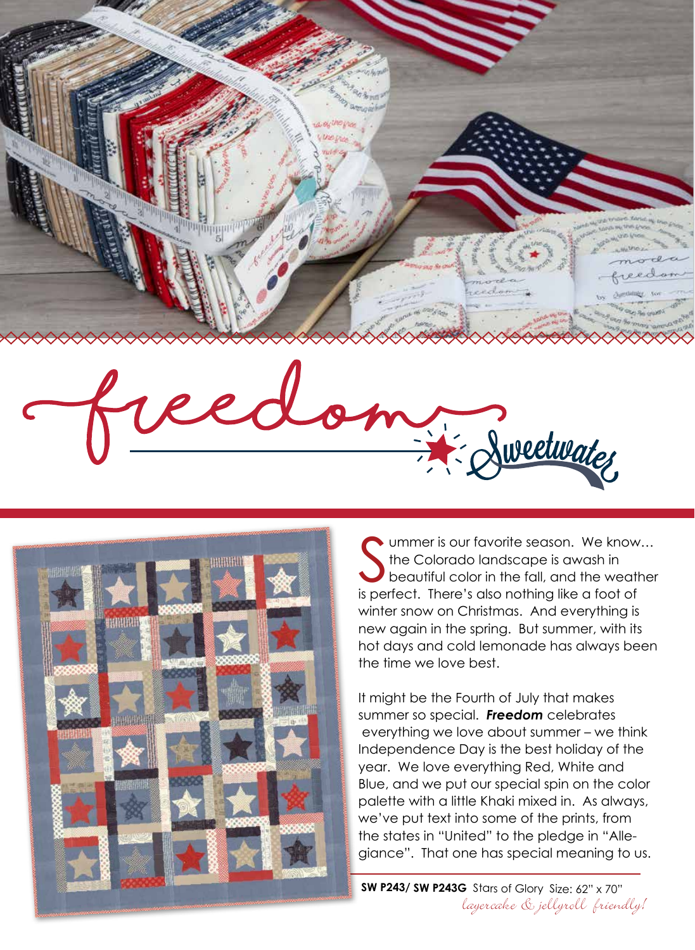



Soummer is our favorite season. We know the Colorado landscape is awash in beautiful color in the fall, and the weath<br>is perfect. There's also nothing like a foot of ummer is our favorite season. We know… the Colorado landscape is awash in beautiful color in the fall, and the weather winter snow on Christmas. And everything is new again in the spring. But summer, with its hot days and cold lemonade has always been the time we love best.

It might be the Fourth of July that makes summer so special. *Freedom* celebrates everything we love about summer – we think Independence Day is the best holiday of the year. We love everything Red, White and Blue, and we put our special spin on the color palette with a little Khaki mixed in. As always, we've put text into some of the prints, from the states in "United" to the pledge in "Allegiance". That one has special meaning to us.

**SW P243/ SW P243G** Stars of Glory Size: 62" x 70" layercake & jellyroll friendly!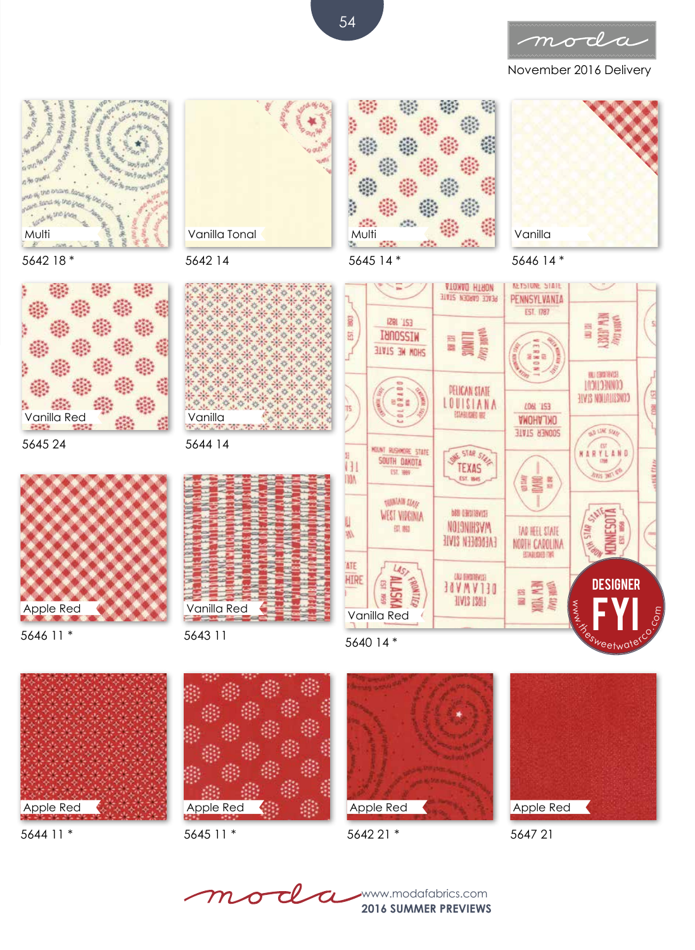

November 2016 Delivery









5645 24

5642 18 \*

**Acros MESTIO ENGIN** 

oly Und Green **Part of our fire** 

**THE DYGINS BOND of U.** onaine fand sy the ghee

ş

out Red

近原

Multi

 $\mathcal{L}$ 





5642 14

 $\frac{d\mathbf{r}}{d\mathbf{r}}$ 

ä

 $\geq$ 

5644 14

5643 11

Vanilla<br>Talian

 $\mathcal{A}$ 

Vanilla Tonal

ä

5646 11 \*



5644 11 \*



Apple Red



5642 21 \*



5640 14 \*





m



**SW P243/ SW P243/ SW P243/ SW P243/ SW P2436/ SW P243G AVE SIZE: 62 SW P243G AVE SIZE: 62 SW P243G AVE SIZE: 62 SW P243G AVE SIZE: 62 SW P243G AVE SIZE: 62 SW P243G AVE SIZE: 62 SW P243G AVE SIZE: 62 SW P243G AVE SIZE: 62** 

**2016 SUMMER PREVIEWS**

54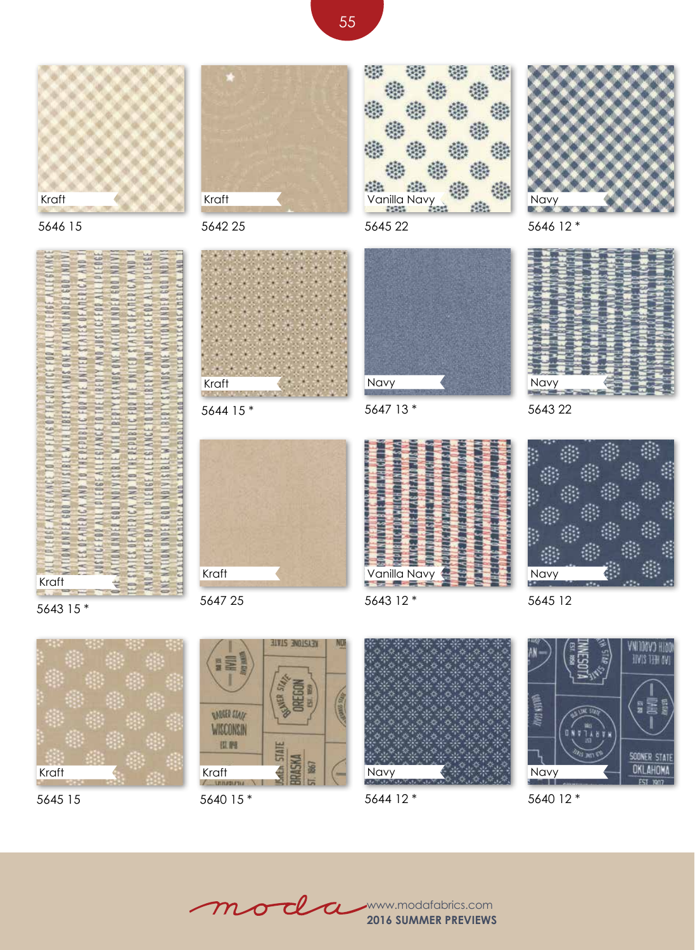



5643 15 \*

5645 15

Kraft





5642 25



5644 15 \*



5647 25



5647 13 \*

5645 22

**Vanilla Navy** 

2

 $\mathcal{C}_{\mathcal{A}}$ 

曠

安装

紫

6G

**Side** 



5643 12 \*



5646 12 \*



5643 22



5645 12

**BIVIS INDISIBY** E SCNER SIN *ANDER STATE* WISCONSIN 田醇 **STATE BRASKI** Ś 86 Kraft<br>/\_wwww Navy

5640 15 \*



5644 12 \*



5640 12 \*

moda

**2016 SUMMER PREVIEWS** www.modafabrics.com

55

嘉

爆

戀

戀

樂